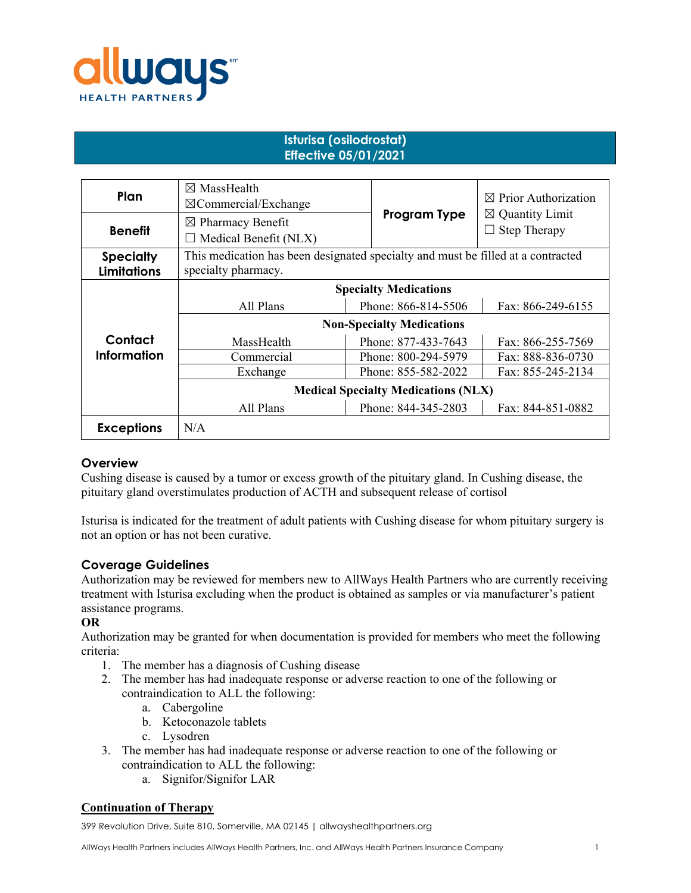

# **Isturisa (osilodrostat) Effective 05/01/2021**

| Plan               | $\boxtimes$ MassHealth<br>$\boxtimes$ Commercial/Exchange                        |                     | $\boxtimes$ Prior Authorization                        |
|--------------------|----------------------------------------------------------------------------------|---------------------|--------------------------------------------------------|
| <b>Benefit</b>     | $\boxtimes$ Pharmacy Benefit<br>$\Box$ Medical Benefit (NLX)                     | Program Type        | $\boxtimes$ Quantity Limit<br><b>Step Therapy</b><br>ப |
| <b>Specialty</b>   | This medication has been designated specialty and must be filled at a contracted |                     |                                                        |
| <b>Limitations</b> | specialty pharmacy.                                                              |                     |                                                        |
|                    | <b>Specialty Medications</b>                                                     |                     |                                                        |
|                    | All Plans                                                                        | Phone: 866-814-5506 | Fax: 866-249-6155                                      |
|                    | <b>Non-Specialty Medications</b>                                                 |                     |                                                        |
| Contact            | MassHealth                                                                       | Phone: 877-433-7643 | Fax: 866-255-7569                                      |
| <b>Information</b> | Commercial                                                                       | Phone: 800-294-5979 | Fax: 888-836-0730                                      |
|                    | Exchange                                                                         | Phone: 855-582-2022 | Fax: 855-245-2134                                      |
|                    | <b>Medical Specialty Medications (NLX)</b>                                       |                     |                                                        |
|                    | All Plans                                                                        | Phone: 844-345-2803 | Fax: 844-851-0882                                      |
| <b>Exceptions</b>  | N/A                                                                              |                     |                                                        |

## **Overview**

Cushing disease is caused by a tumor or excess growth of the pituitary gland. In Cushing disease, the pituitary gland overstimulates production of ACTH and subsequent release of cortisol

Isturisa is indicated for the treatment of adult patients with Cushing disease for whom pituitary surgery is not an option or has not been curative.

## **Coverage Guidelines**

Authorization may be reviewed for members new to AllWays Health Partners who are currently receiving treatment with Isturisa excluding when the product is obtained as samples or via manufacturer's patient assistance programs.

**OR**

Authorization may be granted for when documentation is provided for members who meet the following criteria:

- 1. The member has a diagnosis of Cushing disease
- 2. The member has had inadequate response or adverse reaction to one of the following or contraindication to ALL the following:
	- a. Cabergoline
	- b. Ketoconazole tablets
	- c. Lysodren
- 3. The member has had inadequate response or adverse reaction to one of the following or contraindication to ALL the following:
	- a. Signifor/Signifor LAR

## **Continuation of Therapy**

399 Revolution Drive, Suite 810, Somerville, MA 02145 | allwayshealthpartners.org